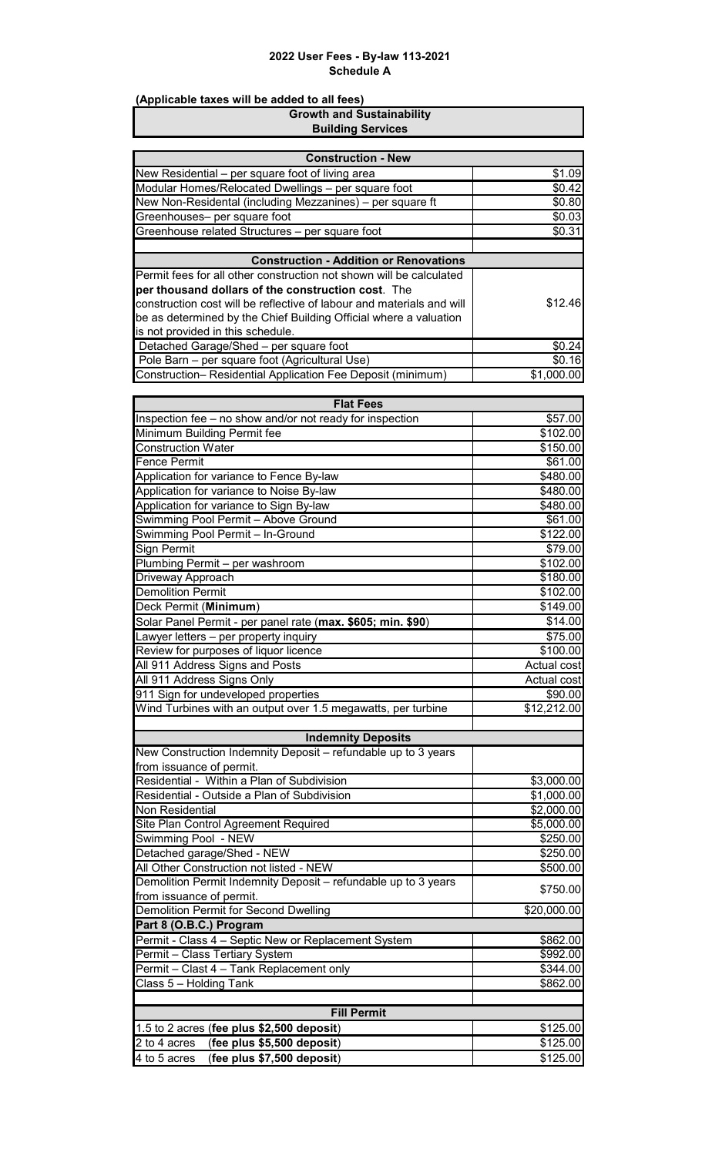| (Applicable taxes will be added to all fees)                                                                         |                      |
|----------------------------------------------------------------------------------------------------------------------|----------------------|
| <b>Growth and Sustainability</b>                                                                                     |                      |
| <b>Building Services</b>                                                                                             |                      |
| <b>Construction - New</b>                                                                                            |                      |
| New Residential - per square foot of living area                                                                     | \$1.09               |
| Modular Homes/Relocated Dwellings - per square foot                                                                  | \$0.42               |
| New Non-Residental (including Mezzanines) - per square ft                                                            | \$0.80               |
| Greenhouses- per square foot                                                                                         | \$0.03               |
| Greenhouse related Structures - per square foot                                                                      | \$0.31               |
|                                                                                                                      |                      |
| <b>Construction - Addition or Renovations</b><br>Permit fees for all other construction not shown will be calculated |                      |
| per thousand dollars of the construction cost. The                                                                   |                      |
| construction cost will be reflective of labour and materials and will                                                | \$12.46              |
| be as determined by the Chief Building Official where a valuation                                                    |                      |
| is not provided in this schedule.                                                                                    |                      |
| Detached Garage/Shed - per square foot                                                                               | \$0.24               |
| Pole Barn - per square foot (Agricultural Use)                                                                       | \$0.16               |
| Construction- Residential Application Fee Deposit (minimum)                                                          | \$1,000.00           |
| <b>Flat Fees</b>                                                                                                     |                      |
| Inspection fee - no show and/or not ready for inspection                                                             | \$57.00              |
| Minimum Building Permit fee                                                                                          | \$102.00             |
| Construction Water                                                                                                   | \$150.00             |
| <b>Fence Permit</b>                                                                                                  | \$61.00              |
| Application for variance to Fence By-law                                                                             | \$480.00             |
| Application for variance to Noise By-law                                                                             | \$480.00             |
| Application for variance to Sign By-law                                                                              | \$480.00             |
| Swimming Pool Permit - Above Ground                                                                                  | \$61.00              |
| Swimming Pool Permit - In-Ground                                                                                     | \$122.00             |
| Sign Permit                                                                                                          | \$79.00              |
| Plumbing Permit - per washroom                                                                                       | \$102.00             |
| Driveway Approach<br><b>Demolition Permit</b>                                                                        | \$180.00<br>\$102.00 |
| Deck Permit (Minimum)                                                                                                | \$149.00             |
| Solar Panel Permit - per panel rate (max. \$605; min. \$90)                                                          | \$14.00              |
| Lawyer letters - per property inquiry                                                                                | \$75.00              |
| Review for purposes of liquor licence                                                                                | \$100.00             |
| All 911 Address Signs and Posts                                                                                      | Actual cost          |
| All 911 Address Signs Only                                                                                           | Actual cost          |
| 911 Sign for undeveloped properties                                                                                  | \$90.00              |
| Wind Turbines with an output over 1.5 megawatts, per turbine                                                         | \$12,212.00          |
|                                                                                                                      |                      |
| <b>Indemnity Deposits</b><br>New Construction Indemnity Deposit - refundable up to 3 years                           |                      |
| from issuance of permit.                                                                                             |                      |
| Residential - Within a Plan of Subdivision                                                                           | \$3,000.00           |
| Residential - Outside a Plan of Subdivision                                                                          | \$1,000.00           |
| Non Residential                                                                                                      | \$2,000.00           |
| Site Plan Control Agreement Required                                                                                 | \$5,000.00           |
| Swimming Pool - NEW                                                                                                  | \$250.00             |
| Detached garage/Shed - NEW                                                                                           | \$250.00             |
| All Other Construction not listed - NEW                                                                              | \$500.00             |
| Demolition Permit Indemnity Deposit - refundable up to 3 years<br>from issuance of permit.                           | \$750.00             |
| <b>Demolition Permit for Second Dwelling</b>                                                                         | \$20,000.00          |
| Part 8 (O.B.C.) Program                                                                                              |                      |
| Permit - Class 4 - Septic New or Replacement System                                                                  | \$862.00             |
| Permit - Class Tertiary System                                                                                       | \$992.00             |
| Permit - Clast 4 - Tank Replacement only                                                                             | \$344.00             |
| Class 5 - Holding Tank                                                                                               | \$862.00             |
|                                                                                                                      |                      |
| <b>Fill Permit</b>                                                                                                   |                      |
| 1.5 to 2 acres (fee plus \$2,500 deposit)                                                                            | \$125.00             |
| (fee plus \$5,500 deposit)<br>2 to 4 acres<br>4 to 5 acres                                                           | \$125.00<br>\$125.00 |
| (fee plus \$7,500 deposit)                                                                                           |                      |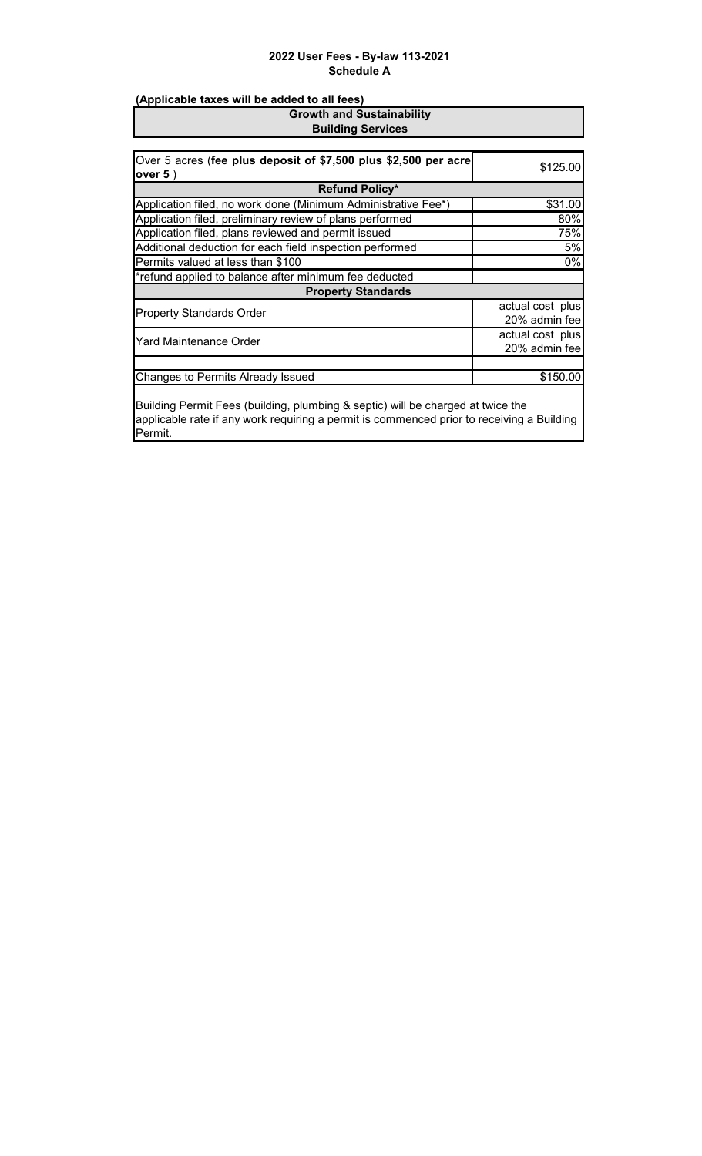# **(Applicable taxes will be added to all fees) Growth and Sustainability**

**Building Services**

| Over 5 acres (fee plus deposit of \$7,500 plus \$2,500 per acre                 | \$125.00         |  |
|---------------------------------------------------------------------------------|------------------|--|
| over $5$ )                                                                      |                  |  |
| <b>Refund Policy*</b>                                                           |                  |  |
| Application filed, no work done (Minimum Administrative Fee*)                   | \$31.00          |  |
| Application filed, preliminary review of plans performed                        | 80%              |  |
| Application filed, plans reviewed and permit issued                             | 75%              |  |
| Additional deduction for each field inspection performed                        | 5%               |  |
| Permits valued at less than \$100                                               | 0%               |  |
| *refund applied to balance after minimum fee deducted                           |                  |  |
| <b>Property Standards</b>                                                       |                  |  |
| <b>Property Standards Order</b>                                                 | actual cost plus |  |
|                                                                                 | 20% admin fee    |  |
| <b>Yard Maintenance Order</b>                                                   | actual cost plus |  |
|                                                                                 | 20% admin fee    |  |
|                                                                                 |                  |  |
| Changes to Permits Already Issued                                               | \$150.00         |  |
|                                                                                 |                  |  |
| Building Permit Fees (building, plumbing & septic) will be charged at twice the |                  |  |

applicable rate if any work requiring a permit is commenced prior to receiving a Building Permit.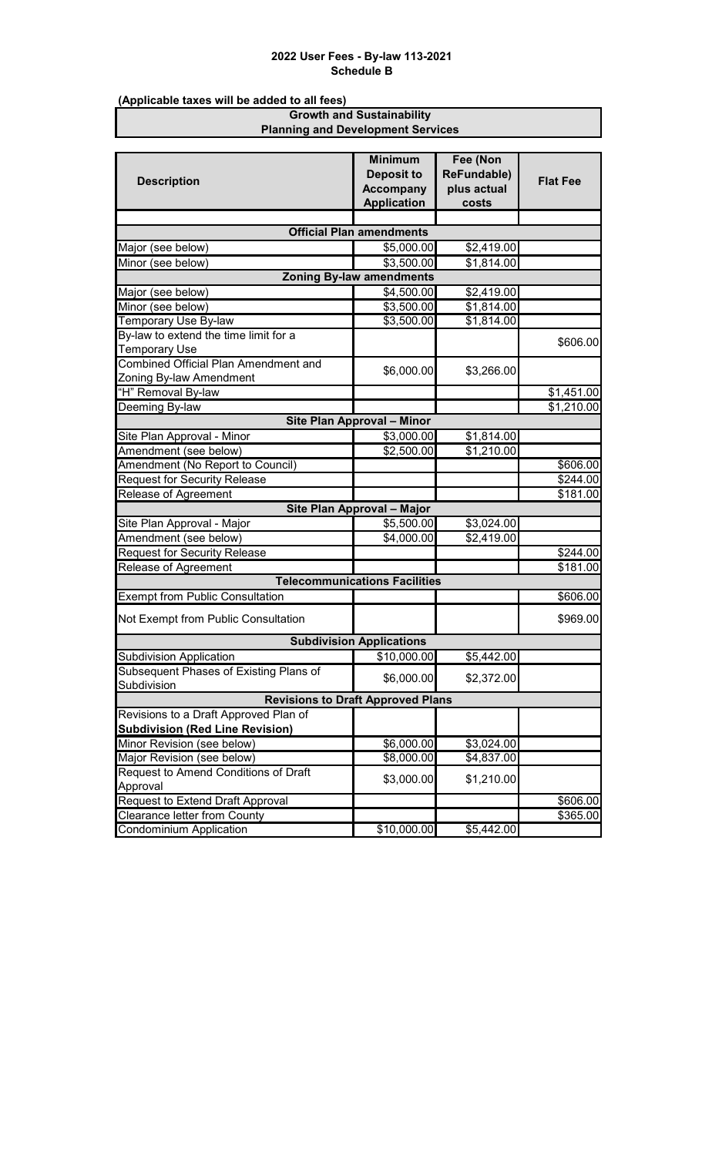**(Applicable taxes will be added to all fees)**

#### **Growth and Sustainability Planning and Development Services**

|                                                          | <b>Minimum</b><br><b>Deposit to</b>      | Fee (Non<br><b>ReFundable)</b> |                 |
|----------------------------------------------------------|------------------------------------------|--------------------------------|-----------------|
| <b>Description</b>                                       | <b>Accompany</b>                         | plus actual                    | <b>Flat Fee</b> |
|                                                          | <b>Application</b>                       | costs                          |                 |
|                                                          |                                          |                                |                 |
|                                                          | <b>Official Plan amendments</b>          |                                |                 |
| Major (see below)                                        | \$5,000.00                               | \$2,419.00                     |                 |
| Minor (see below)                                        | \$3,500.00                               | \$1,814.00                     |                 |
|                                                          | <b>Zoning By-law amendments</b>          |                                |                 |
| Major (see below)                                        | \$4,500.00                               | \$2,419.00                     |                 |
| Minor (see below)                                        | \$3,500.00                               | \$1,814.00                     |                 |
| Temporary Use By-law                                     | \$3,500.00                               | \$1,814.00                     |                 |
| By-law to extend the time limit for a                    |                                          |                                | \$606.00        |
| <b>Temporary Use</b>                                     |                                          |                                |                 |
| <b>Combined Official Plan Amendment and</b>              | \$6,000.00                               | \$3,266.00                     |                 |
| Zoning By-law Amendment                                  |                                          |                                |                 |
| "H" Removal By-law                                       |                                          |                                | \$1,451.00      |
| Deeming By-law                                           |                                          |                                | \$1,210.00      |
|                                                          | Site Plan Approval - Minor               |                                |                 |
| Site Plan Approval - Minor                               | \$3,000.00                               | \$1,814.00                     |                 |
| Amendment (see below)                                    | \$2,500.00                               | \$1,210.00                     |                 |
| Amendment (No Report to Council)                         |                                          |                                | \$606.00        |
| <b>Request for Security Release</b>                      |                                          |                                | \$244.00        |
| Release of Agreement                                     |                                          |                                | \$181.00        |
|                                                          | Site Plan Approval - Major               |                                |                 |
| Site Plan Approval - Major                               | \$5,500.00                               | \$3,024.00                     |                 |
| Amendment (see below)                                    | \$4,000.00                               | \$2,419.00                     |                 |
| <b>Request for Security Release</b>                      |                                          |                                | \$244.00        |
| Release of Agreement                                     | <b>Telecommunications Facilities</b>     |                                | \$181.00        |
|                                                          |                                          |                                |                 |
| <b>Exempt from Public Consultation</b>                   |                                          |                                | \$606.00        |
| Not Exempt from Public Consultation                      |                                          |                                | \$969.00        |
|                                                          | <b>Subdivision Applications</b>          |                                |                 |
| <b>Subdivision Application</b>                           | \$10,000.00                              | \$5,442.00                     |                 |
| Subsequent Phases of Existing Plans of                   | \$6,000.00                               | \$2,372.00                     |                 |
| Subdivision                                              |                                          |                                |                 |
|                                                          | <b>Revisions to Draft Approved Plans</b> |                                |                 |
| Revisions to a Draft Approved Plan of                    |                                          |                                |                 |
| <b>Subdivision (Red Line Revision)</b>                   | \$6,000.00                               | \$3,024.00                     |                 |
| Minor Revision (see below)<br>Major Revision (see below) | \$8,000.00                               | \$4,837.00                     |                 |
| Request to Amend Conditions of Draft                     |                                          |                                |                 |
| Approval                                                 | \$3,000.00                               | \$1,210.00                     |                 |
| <b>Request to Extend Draft Approval</b>                  |                                          |                                | \$606.00        |
| Clearance letter from County                             |                                          |                                | \$365.00        |
| Condominium Application                                  | \$10,000.00                              | \$5,442.00                     |                 |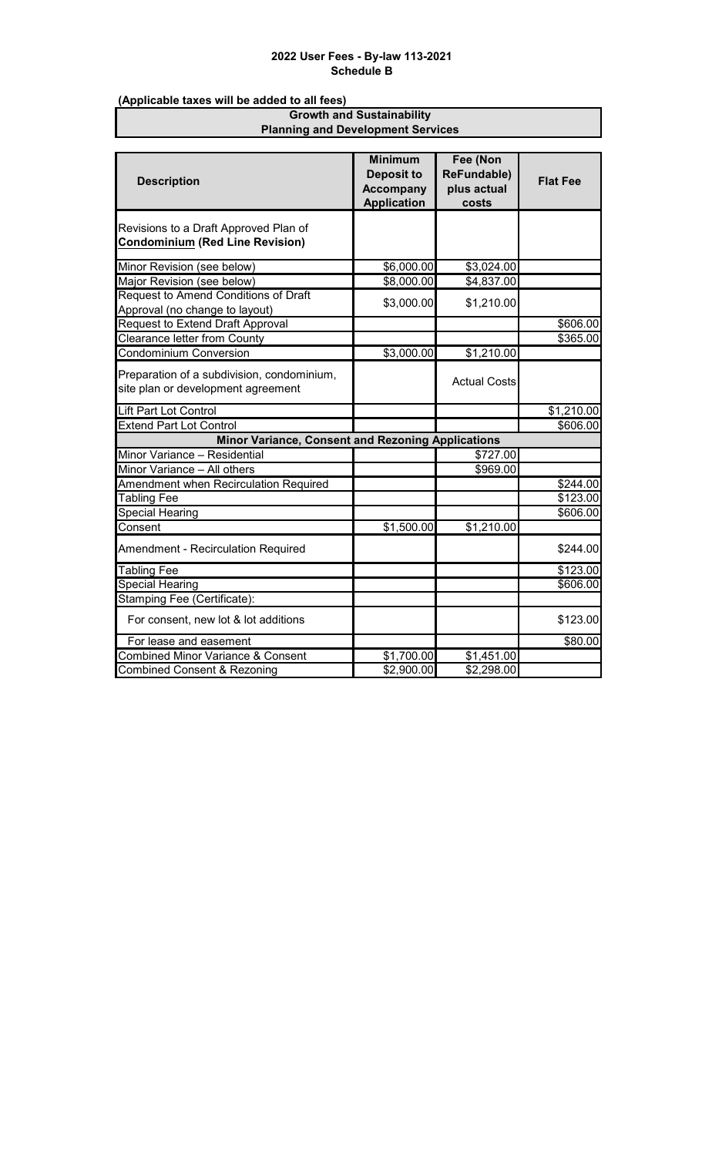**(Applicable taxes will be added to all fees)**

#### **Growth and Sustainability Planning and Development Services**

| <b>Description</b>                                                               | <b>Minimum</b><br><b>Deposit to</b>    | Fee (Non<br><b>ReFundable)</b> | <b>Flat Fee</b> |
|----------------------------------------------------------------------------------|----------------------------------------|--------------------------------|-----------------|
|                                                                                  | <b>Accompany</b><br><b>Application</b> | plus actual<br>costs           |                 |
| Revisions to a Draft Approved Plan of<br><b>Condominium (Red Line Revision)</b>  |                                        |                                |                 |
|                                                                                  |                                        |                                |                 |
| Minor Revision (see below)                                                       | \$6,000.00                             | \$3,024.00                     |                 |
| Major Revision (see below)                                                       | \$8,000.00                             | \$4,837.00                     |                 |
| Request to Amend Conditions of Draft<br>Approval (no change to layout)           | \$3,000.00                             | \$1,210.00                     |                 |
| Request to Extend Draft Approval                                                 |                                        |                                | \$606.00        |
| <b>Clearance letter from County</b>                                              |                                        |                                | \$365.00        |
| <b>Condominium Conversion</b>                                                    | \$3,000.00                             | \$1,210.00                     |                 |
| Preparation of a subdivision, condominium,<br>site plan or development agreement |                                        | <b>Actual Costs</b>            |                 |
| Lift Part Lot Control                                                            |                                        |                                | \$1,210.00      |
| Extend Part Lot Control                                                          |                                        |                                | \$606.00        |
| <b>Minor Variance, Consent and Rezoning Applications</b>                         |                                        |                                |                 |
| Minor Variance - Residential                                                     |                                        | \$727.00                       |                 |
| Minor Variance - All others                                                      |                                        | \$969.00                       |                 |
| <b>Amendment when Recirculation Required</b>                                     |                                        |                                | \$244.00        |
| <b>Tabling Fee</b>                                                               |                                        |                                | \$123.00        |
| <b>Special Hearing</b>                                                           |                                        |                                | \$606.00        |
| Consent                                                                          | \$1,500.00                             | \$1,210.00                     |                 |
| <b>Amendment - Recirculation Required</b>                                        |                                        |                                | \$244.00        |
| <b>Tabling Fee</b>                                                               |                                        |                                | \$123.00        |
| <b>Special Hearing</b>                                                           |                                        |                                | \$606.00        |
| Stamping Fee (Certificate):                                                      |                                        |                                |                 |
| For consent, new lot & lot additions                                             |                                        |                                | \$123.00        |
| For lease and easement                                                           |                                        |                                | \$80.00         |
| <b>Combined Minor Variance &amp; Consent</b>                                     | \$1,700.00                             | \$1,451.00                     |                 |
| <b>Combined Consent &amp; Rezoning</b>                                           | \$2,900.00                             | $\overline{$2,298.00}$         |                 |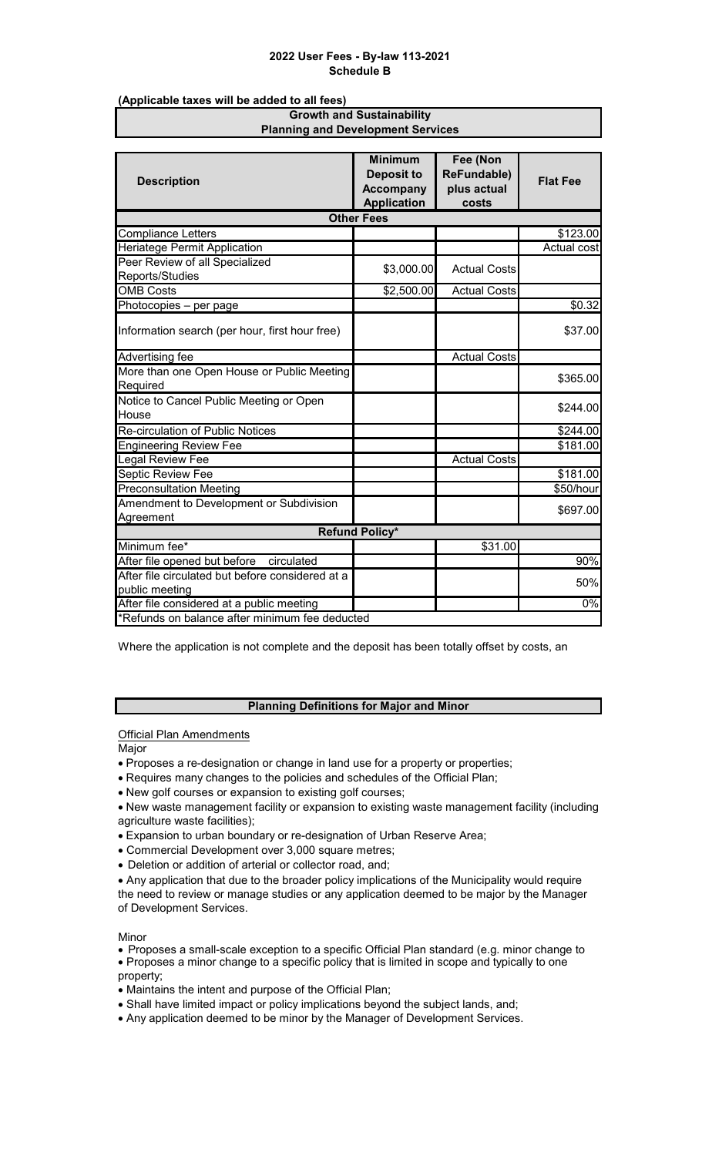**(Applicable taxes will be added to all fees)**

#### **Growth and Sustainability Planning and Development Services**

|                                                  | <b>Minimum</b>                 | Fee (Non<br><b>ReFundable)</b> |                 |
|--------------------------------------------------|--------------------------------|--------------------------------|-----------------|
| <b>Description</b>                               | Deposit to<br><b>Accompany</b> | plus actual                    | <b>Flat Fee</b> |
|                                                  | <b>Application</b>             | costs                          |                 |
|                                                  | <b>Other Fees</b>              |                                |                 |
| <b>Compliance Letters</b>                        |                                |                                | \$123.00        |
| <b>Heriatege Permit Application</b>              |                                |                                | Actual cost     |
| Peer Review of all Specialized                   |                                |                                |                 |
| Reports/Studies                                  | \$3,000.00                     | <b>Actual Costs</b>            |                 |
| <b>OMB</b> Costs                                 | \$2,500.00                     | <b>Actual Costs</b>            |                 |
| Photocopies - per page                           |                                |                                | \$0.32          |
|                                                  |                                |                                |                 |
| Information search (per hour, first hour free)   |                                |                                | \$37.00         |
| <b>Advertising fee</b>                           |                                | <b>Actual Costs</b>            |                 |
| More than one Open House or Public Meeting       |                                |                                |                 |
| Required                                         |                                |                                | \$365.00        |
| Notice to Cancel Public Meeting or Open          |                                |                                | \$244.00        |
| House                                            |                                |                                |                 |
| Re-circulation of Public Notices                 |                                |                                | \$244.00        |
| <b>Engineering Review Fee</b>                    |                                |                                | \$181.00        |
| Legal Review Fee                                 |                                | <b>Actual Costs</b>            |                 |
| <b>Septic Review Fee</b>                         |                                |                                | \$181.00        |
| <b>Preconsultation Meeting</b>                   |                                |                                | \$50/hour       |
| Amendment to Development or Subdivision          |                                |                                | \$697.00        |
| Agreement                                        |                                |                                |                 |
|                                                  | <b>Refund Policy*</b>          |                                |                 |
| Minimum fee*                                     |                                | \$31.00                        |                 |
| After file opened but before<br>circulated       |                                |                                | 90%             |
| After file circulated but before considered at a |                                |                                | 50%             |
| public meeting                                   |                                |                                |                 |
| After file considered at a public meeting        |                                |                                | 0%              |
| *Refunds on balance after minimum fee deducted   |                                |                                |                 |

Where the application is not complete and the deposit has been totally offset by costs, an

#### **Planning Definitions for Major and Minor**

**Official Plan Amendments** 

Major

- Proposes a re-designation or change in land use for a property or properties;
- Requires many changes to the policies and schedules of the Official Plan;
- New golf courses or expansion to existing golf courses;
- New waste management facility or expansion to existing waste management facility (including agriculture waste facilities);
- Expansion to urban boundary or re-designation of Urban Reserve Area;
- Commercial Development over 3,000 square metres;
- Deletion or addition of arterial or collector road, and;

• Any application that due to the broader policy implications of the Municipality would require the need to review or manage studies or any application deemed to be major by the Manager of Development Services.

Minor

- Proposes a small-scale exception to a specific Official Plan standard (e.g. minor change to • Proposes a minor change to a specific policy that is limited in scope and typically to one property;
- Maintains the intent and purpose of the Official Plan;
- Shall have limited impact or policy implications beyond the subject lands, and;
- Any application deemed to be minor by the Manager of Development Services.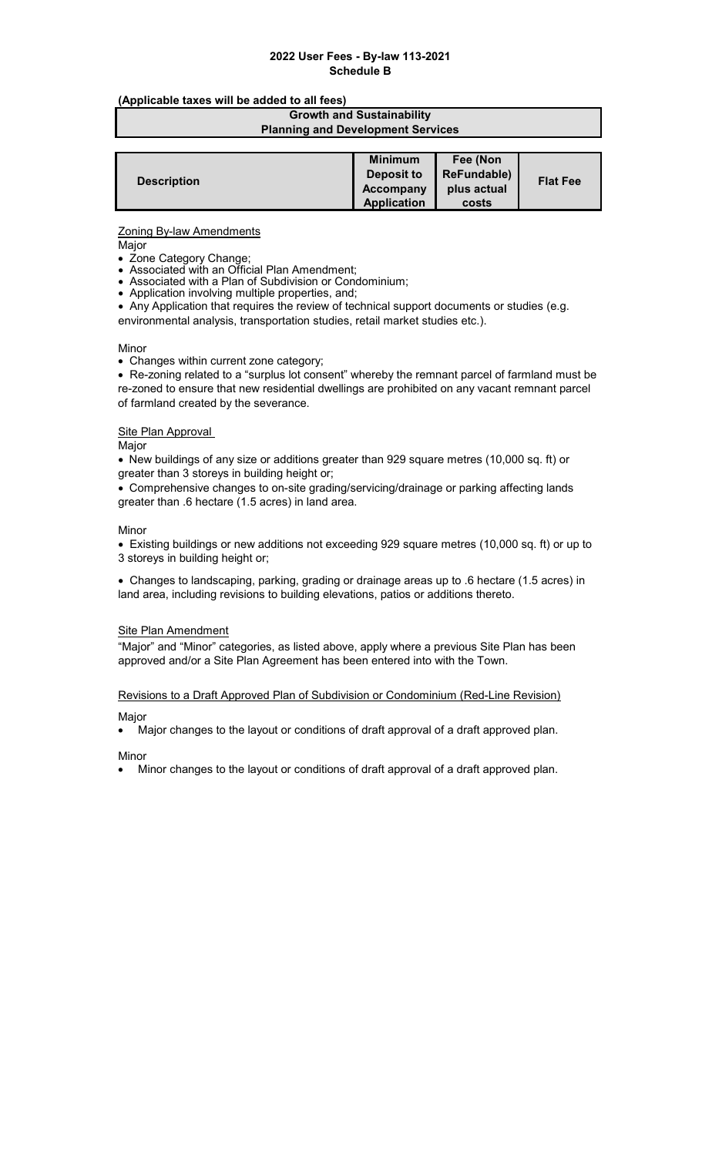#### **(Applicable taxes will be added to all fees)**

#### **Growth and Sustainability Planning and Development Services**

|                    | <b>Minimum</b>     | Fee (Non           |                 |
|--------------------|--------------------|--------------------|-----------------|
| <b>Description</b> | Deposit to         | <b>ReFundable)</b> | <b>Flat Fee</b> |
|                    | Accompany          | plus actual        |                 |
|                    | <b>Application</b> | costs              |                 |

#### Zoning By-law Amendments

Major

- Zone Category Change;
- Associated with an Official Plan Amendment;
- Associated with a Plan of Subdivision or Condominium;
- Application involving multiple properties, and;

• Any Application that requires the review of technical support documents or studies (e.g. environmental analysis, transportation studies, retail market studies etc.).

#### Minor

• Changes within current zone category;

• Re-zoning related to a "surplus lot consent" whereby the remnant parcel of farmland must be re-zoned to ensure that new residential dwellings are prohibited on any vacant remnant parcel of farmland created by the severance.

# Site Plan Approval

Major

• New buildings of any size or additions greater than 929 square metres (10,000 sq. ft) or greater than 3 storeys in building height or;

• Comprehensive changes to on-site grading/servicing/drainage or parking affecting lands greater than .6 hectare (1.5 acres) in land area.

#### Minor

• Existing buildings or new additions not exceeding 929 square metres (10,000 sq. ft) or up to 3 storeys in building height or;

• Changes to landscaping, parking, grading or drainage areas up to .6 hectare (1.5 acres) in land area, including revisions to building elevations, patios or additions thereto.

#### **Site Plan Amendment**

"Major" and "Minor" categories, as listed above, apply where a previous Site Plan has been approved and/or a Site Plan Agreement has been entered into with the Town.

#### Revisions to a Draft Approved Plan of Subdivision or Condominium (Red-Line Revision)

#### Major

• Major changes to the layout or conditions of draft approval of a draft approved plan.

Minor

• Minor changes to the layout or conditions of draft approval of a draft approved plan.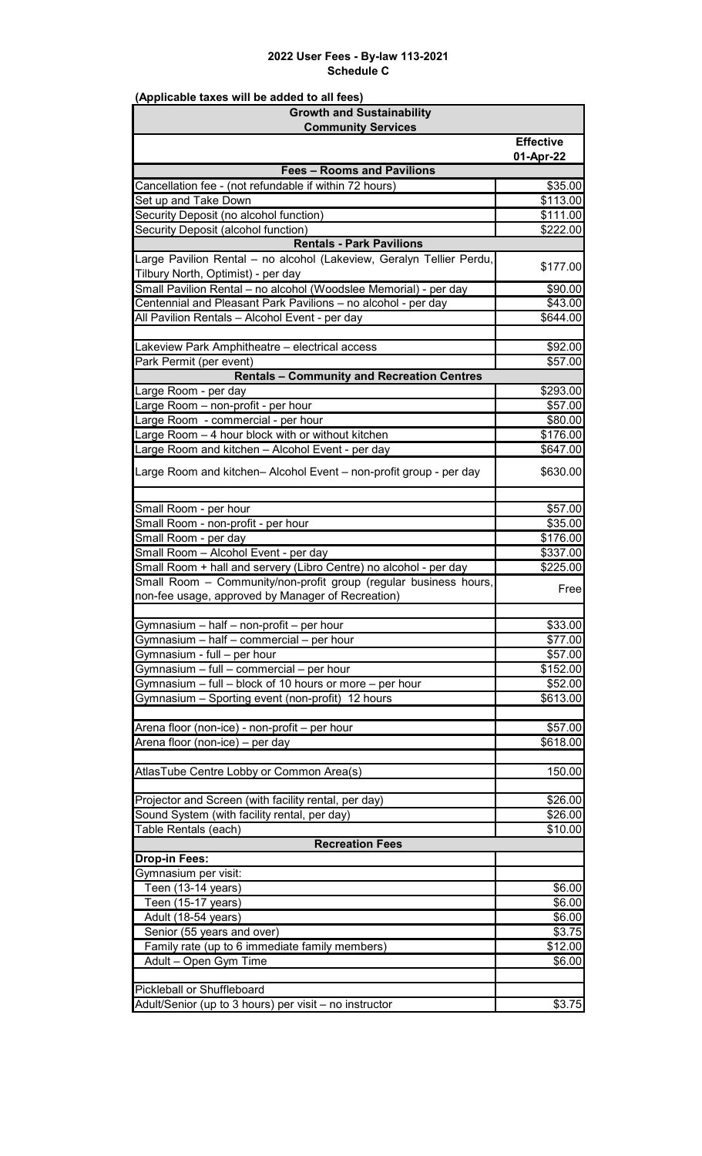| <b>Growth and Sustainability</b>                                     |                      |
|----------------------------------------------------------------------|----------------------|
| <b>Community Services</b>                                            |                      |
|                                                                      | <b>Effective</b>     |
|                                                                      | 01-Apr-22            |
| <b>Fees - Rooms and Pavilions</b>                                    |                      |
| Cancellation fee - (not refundable if within 72 hours)               | \$35.00              |
| Set up and Take Down                                                 | $\overline{$}113.00$ |
| Security Deposit (no alcohol function)                               | \$111.00             |
| Security Deposit (alcohol function)                                  | \$222.00             |
| <b>Rentals - Park Pavilions</b>                                      |                      |
| Large Pavilion Rental - no alcohol (Lakeview, Geralyn Tellier Perdu, | \$177.00             |
| Tilbury North, Optimist) - per day                                   |                      |
| Small Pavilion Rental - no alcohol (Woodslee Memorial) - per day     | \$90.00              |
| Centennial and Pleasant Park Pavilions - no alcohol - per day        | \$43.00              |
| All Pavilion Rentals - Alcohol Event - per day                       | \$644.00             |
|                                                                      |                      |
| akeview Park Amphitheatre - electrical access                        | \$92.00              |
| Park Permit (per event)                                              | \$57.00              |
| <b>Rentals - Community and Recreation Centres</b>                    |                      |
| arge Room - per day                                                  | \$293.00             |
| arge Room – non-profit - per hour                                    | \$57.00              |
| arge Room  - commercial - per hour.                                  | \$80.00              |
| arge Room - 4 hour block with or without kitchen                     | \$176.00             |
| arge Room and kitchen - Alcohol Event - per day                      | \$647.00             |
|                                                                      |                      |
| Large Room and kitchen- Alcohol Event - non-profit group - per day   | \$630.00             |
|                                                                      |                      |
| Small Room - per hour                                                | \$57.00              |
| Small Room - non-profit - per hour                                   | \$35.00              |
| Small Room - per day                                                 | \$176.00             |
| Small Room - Alcohol Event - per day                                 | \$337.00             |
| Small Room + hall and servery (Libro Centre) no alcohol - per day    | \$225.00             |
| Small Room - Community/non-profit group (regular business hours,     |                      |
| non-fee usage, approved by Manager of Recreation)                    | Free                 |
|                                                                      |                      |
| Gymnasium - half - non-profit - per hour                             | \$33.00              |
| Gymnasium - half - commercial - per hour                             | \$77.00              |
| Gymnasium - full - per hour                                          | \$57.00              |
| Gymnasium - full - commercial - per hour                             | \$152.00             |
| Gymnasium - full - block of 10 hours or more - per hour              | \$52.00              |
| Gymnasium - Sporting event (non-profit) 12 hours                     | \$613.00             |
|                                                                      |                      |
| Arena floor (non-ice) - non-profit - per hour                        | \$57.00              |
| Arena floor (non-ice) - per day                                      | \$618.00             |
|                                                                      |                      |
| AtlasTube Centre Lobby or Common Area(s)                             | 150.00               |
|                                                                      |                      |
| Projector and Screen (with facility rental, per day)                 | \$26.00              |
| Sound System (with facility rental, per day)                         | \$26.00              |
| Table Rentals (each)                                                 | \$10.00              |
| <b>Recreation Fees</b>                                               |                      |
| <b>Drop-in Fees:</b>                                                 |                      |
| Gymnasium per visit:                                                 |                      |
|                                                                      | \$6.00               |
| Teen (13-14 years)                                                   | \$6.00               |
| Teen (15-17 years)                                                   |                      |
| Adult (18-54 years)                                                  | \$6.00               |
| Senior (55 years and over)                                           | \$3.75               |
| Family rate (up to 6 immediate family members)                       | \$12.00              |
| Adult - Open Gym Time                                                | \$6.00               |
|                                                                      |                      |
| Pickleball or Shuffleboard                                           |                      |
| Adult/Senior (up to 3 hours) per visit - no instructor               | \$3.75               |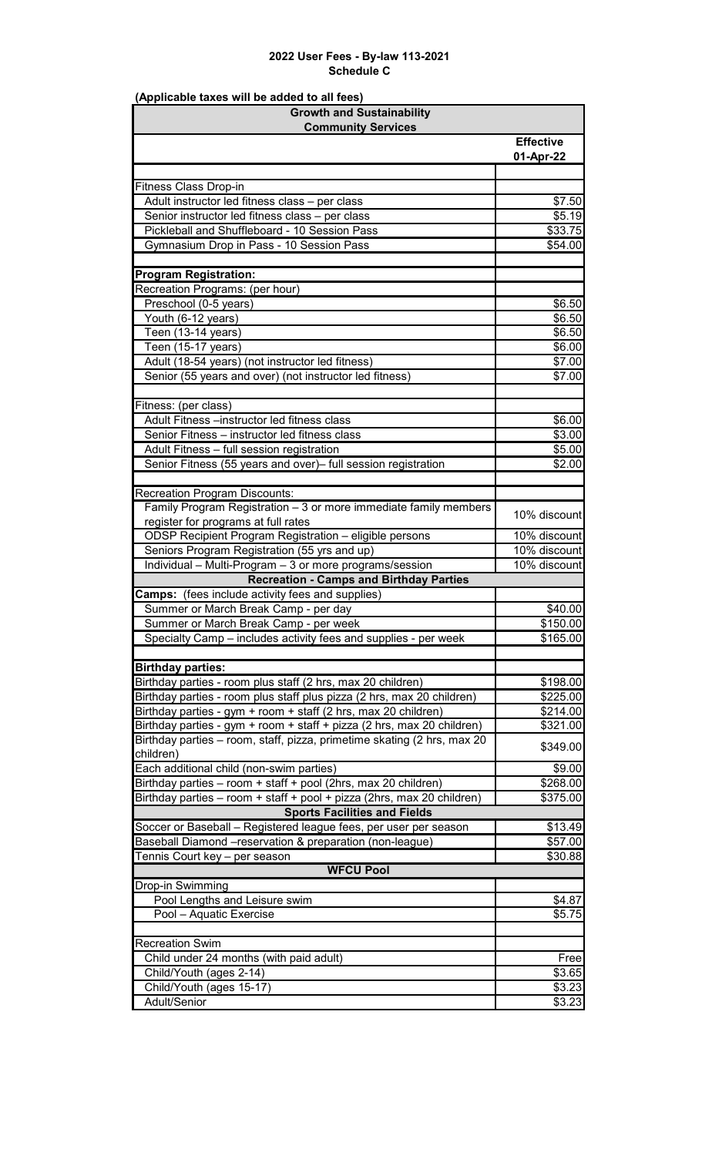| <b>Growth and Sustainability</b>                                                                                             |                    |
|------------------------------------------------------------------------------------------------------------------------------|--------------------|
| <b>Community Services</b>                                                                                                    |                    |
|                                                                                                                              | <b>Effective</b>   |
|                                                                                                                              | 01-Apr-22          |
| <b>Fitness Class Drop-in</b>                                                                                                 |                    |
| Adult instructor led fitness class - per class                                                                               | \$7.50             |
| Senior instructor led fitness class - per class                                                                              | \$5.19             |
| Pickleball and Shuffleboard - 10 Session Pass                                                                                | \$33.75            |
| Gymnasium Drop in Pass - 10 Session Pass                                                                                     | \$54.00            |
|                                                                                                                              |                    |
| <b>Program Registration:</b>                                                                                                 |                    |
| Recreation Programs: (per hour)                                                                                              |                    |
| Preschool (0-5 years)                                                                                                        | \$6.50             |
| Youth (6-12 years)                                                                                                           | \$6.50             |
| Teen (13-14 years)                                                                                                           | \$6.50             |
| Teen (15-17 years)                                                                                                           | \$6.00             |
| Adult (18-54 years) (not instructor led fitness)                                                                             | \$7.00             |
| Senior (55 years and over) (not instructor led fitness)                                                                      | \$7.00             |
|                                                                                                                              |                    |
| Fitness: (per class)                                                                                                         |                    |
| Adult Fitness -instructor led fitness class                                                                                  | \$6.00             |
| Senior Fitness - instructor led fitness class                                                                                | \$3.00             |
| Adult Fitness - full session registration                                                                                    | \$5.00             |
| Senior Fitness (55 years and over)- full session registration                                                                | \$2.00             |
|                                                                                                                              |                    |
| <b>Recreation Program Discounts:</b><br>Family Program Registration - 3 or more immediate family members                     |                    |
| register for programs at full rates                                                                                          | 10% discount       |
| ODSP Recipient Program Registration - eligible persons                                                                       | 10% discount       |
| Seniors Program Registration (55 yrs and up)                                                                                 | 10% discount       |
| Individual - Multi-Program - 3 or more programs/session                                                                      | 10% discount       |
| <b>Recreation - Camps and Birthday Parties</b>                                                                               |                    |
| <b>Camps:</b> (fees include activity fees and supplies)                                                                      |                    |
| Summer or March Break Camp - per day                                                                                         | \$40.00            |
| Summer or March Break Camp - per week                                                                                        | \$150.00           |
| Specialty Camp - includes activity fees and supplies - per week                                                              | \$165.00           |
|                                                                                                                              |                    |
| <b>Birthday parties:</b>                                                                                                     |                    |
| Birthday parties - room plus staff (2 hrs, max 20 children)                                                                  | \$198.00           |
| Birthday parties - room plus staff plus pizza (2 hrs, max 20 children)                                                       | \$225.00           |
| Birthday parties - gym + room + staff (2 hrs, max 20 children)                                                               | \$214.00           |
| Birthday parties - gym + room + staff + pizza (2 hrs, max 20 children)                                                       | \$321.00           |
| Birthday parties - room, staff, pizza, primetime skating (2 hrs, max 20                                                      | \$349.00           |
| children)                                                                                                                    |                    |
| Each additional child (non-swim parties)                                                                                     | \$9.00             |
| Birthday parties - room + staff + pool (2hrs, max 20 children)                                                               | \$268.00           |
| Birthday parties - room + staff + pool + pizza (2hrs, max 20 children)                                                       | \$375.00           |
| <b>Sports Facilities and Fields</b>                                                                                          |                    |
| Soccer or Baseball - Registered league fees, per user per season<br>Baseball Diamond -reservation & preparation (non-league) | \$13.49<br>\$57.00 |
| Tennis Court key - per season                                                                                                | \$30.88            |
| <b>WFCU Pool</b>                                                                                                             |                    |
| Drop-in Swimming                                                                                                             |                    |
| Pool Lengths and Leisure swim                                                                                                | \$4.87             |
| Pool - Aquatic Exercise                                                                                                      | \$5.75             |
|                                                                                                                              |                    |
| <b>Recreation Swim</b>                                                                                                       |                    |
| Child under 24 months (with paid adult)                                                                                      | Free               |
| Child/Youth (ages 2-14)                                                                                                      | \$3.65             |
| Child/Youth (ages 15-17)                                                                                                     | \$3.23             |
| Adult/Senior                                                                                                                 | \$3.23             |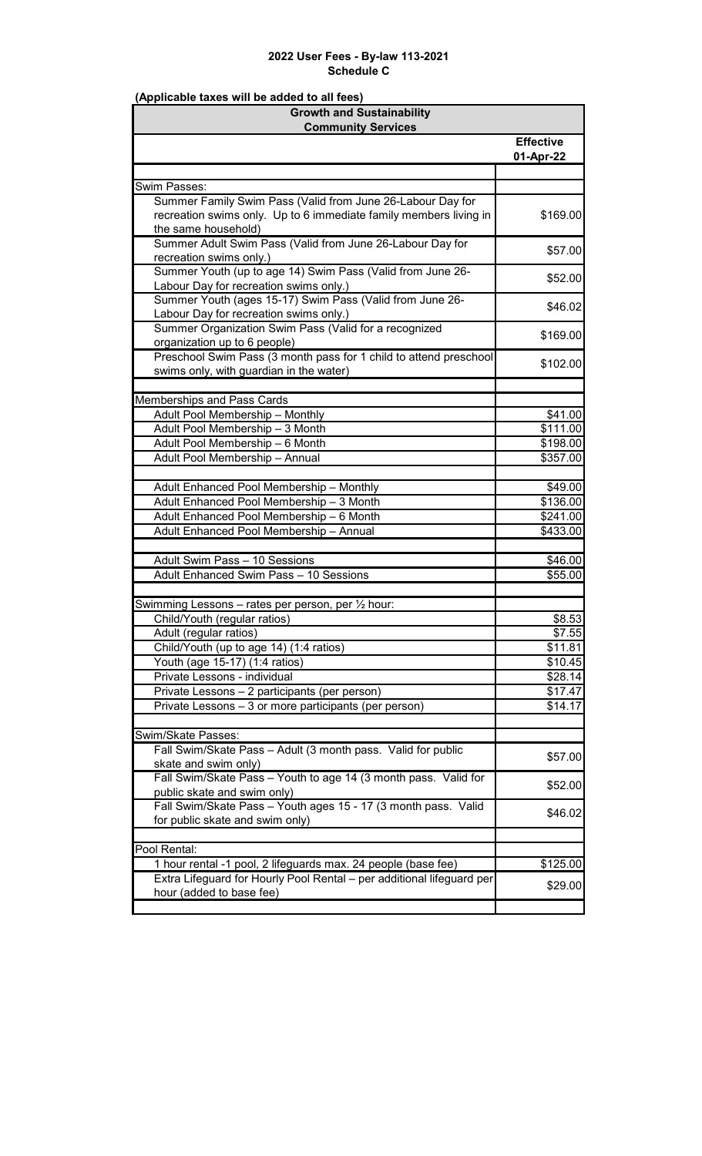| <b>Growth and Sustainability</b>                                      |                    |
|-----------------------------------------------------------------------|--------------------|
| <b>Community Services</b>                                             |                    |
|                                                                       | <b>Effective</b>   |
|                                                                       | 01-Apr-22          |
| Swim Passes:                                                          |                    |
| Summer Family Swim Pass (Valid from June 26-Labour Day for            |                    |
| recreation swims only. Up to 6 immediate family members living in     | \$169.00           |
| the same household)                                                   |                    |
| Summer Adult Swim Pass (Valid from June 26-Labour Day for             |                    |
| recreation swims only.)                                               | \$57.00            |
| Summer Youth (up to age 14) Swim Pass (Valid from June 26-            |                    |
| Labour Day for recreation swims only.)                                | \$52.00            |
| Summer Youth (ages 15-17) Swim Pass (Valid from June 26-              | \$46.02            |
| Labour Day for recreation swims only.)                                |                    |
| Summer Organization Swim Pass (Valid for a recognized                 | \$169.00           |
| organization up to 6 people)                                          |                    |
| Preschool Swim Pass (3 month pass for 1 child to attend preschool     | \$102.00           |
| swims only, with guardian in the water)                               |                    |
|                                                                       |                    |
| Memberships and Pass Cards                                            |                    |
| Adult Pool Membership - Monthly                                       | \$41.00            |
| Adult Pool Membership - 3 Month                                       | \$111.00           |
| Adult Pool Membership - 6 Month                                       | \$198.00           |
| Adult Pool Membership - Annual                                        | \$357.00           |
|                                                                       |                    |
| Adult Enhanced Pool Membership - Monthly                              | \$49.00            |
| Adult Enhanced Pool Membership - 3 Month                              | \$136.00           |
| Adult Enhanced Pool Membership - 6 Month                              | \$241.00           |
| Adult Enhanced Pool Membership - Annual                               | \$433.00           |
| Adult Swim Pass - 10 Sessions                                         |                    |
| Adult Enhanced Swim Pass - 10 Sessions                                | \$46.00<br>\$55.00 |
|                                                                       |                    |
| Swimming Lessons - rates per person, per 1/2 hour:                    |                    |
| Child/Youth (regular ratios)                                          | \$8.53             |
| Adult (regular ratios)                                                | \$7.55             |
| Child/Youth (up to age 14) (1:4 ratios)                               | \$11.81            |
| Youth (age 15-17) (1:4 ratios)                                        | \$10.45            |
| Private Lessons - individual                                          | \$28.14            |
| Private Lessons - 2 participants (per person)                         | \$17.47            |
| Private Lessons - 3 or more participants (per person)                 | \$14.17            |
|                                                                       |                    |
| Swim/Skate Passes:                                                    |                    |
| Fall Swim/Skate Pass - Adult (3 month pass. Valid for public          | \$57.00            |
| skate and swim only)                                                  |                    |
| Fall Swim/Skate Pass - Youth to age 14 (3 month pass. Valid for       | \$52.00            |
| public skate and swim only)                                           |                    |
| Fall Swim/Skate Pass - Youth ages 15 - 17 (3 month pass. Valid        | \$46.02            |
| for public skate and swim only)                                       |                    |
| Pool Rental:                                                          |                    |
| 1 hour rental -1 pool, 2 lifeguards max. 24 people (base fee)         | \$125.00           |
| Extra Lifeguard for Hourly Pool Rental - per additional lifeguard per |                    |
| hour (added to base fee)                                              | \$29.00            |
|                                                                       |                    |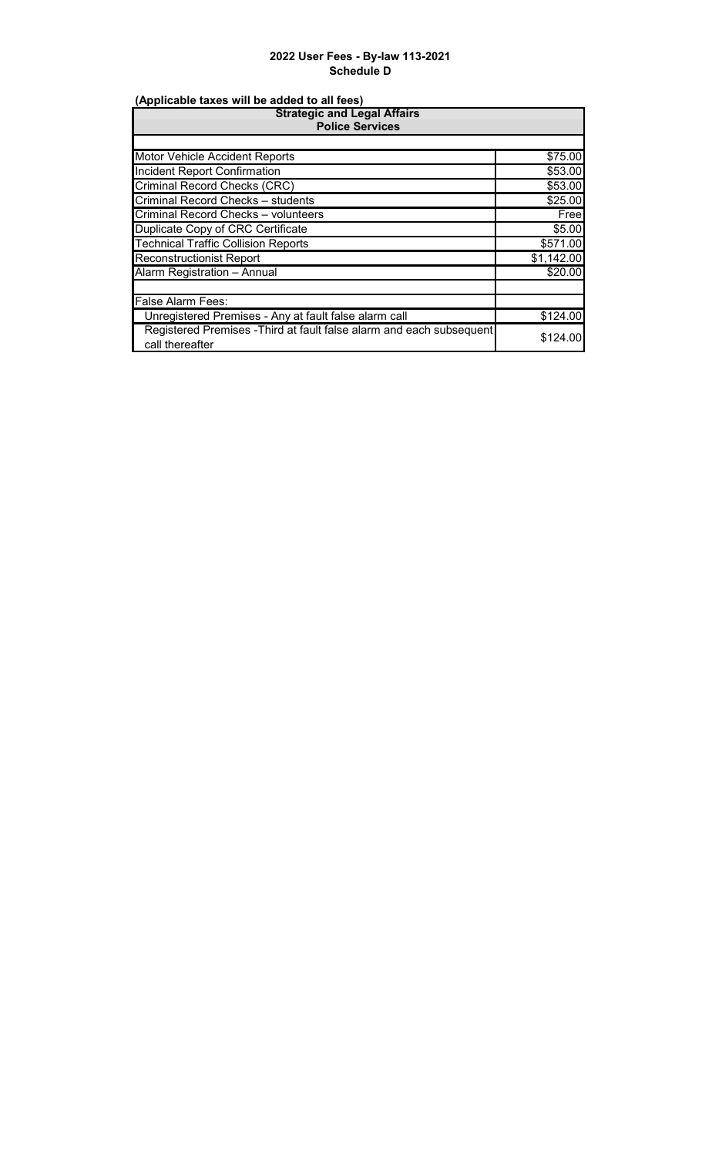| <b>Strategic and Legal Affairs</b><br><b>Police Services</b>                            |            |
|-----------------------------------------------------------------------------------------|------------|
|                                                                                         |            |
| Motor Vehicle Accident Reports                                                          | \$75.00    |
| <b>Incident Report Confirmation</b>                                                     | \$53.00    |
| Criminal Record Checks (CRC)                                                            | \$53.00    |
| Criminal Record Checks - students                                                       | \$25.00    |
| Criminal Record Checks - volunteers                                                     | Free       |
| Duplicate Copy of CRC Certificate                                                       | \$5.00     |
| <b>Technical Traffic Collision Reports</b>                                              | \$571.00   |
| <b>Reconstructionist Report</b>                                                         | \$1,142.00 |
| Alarm Registration - Annual                                                             | \$20.00    |
|                                                                                         |            |
| <b>False Alarm Fees:</b>                                                                |            |
| Unregistered Premises - Any at fault false alarm call                                   | \$124.00   |
| Registered Premises - Third at fault false alarm and each subsequent<br>call thereafter | \$124.00   |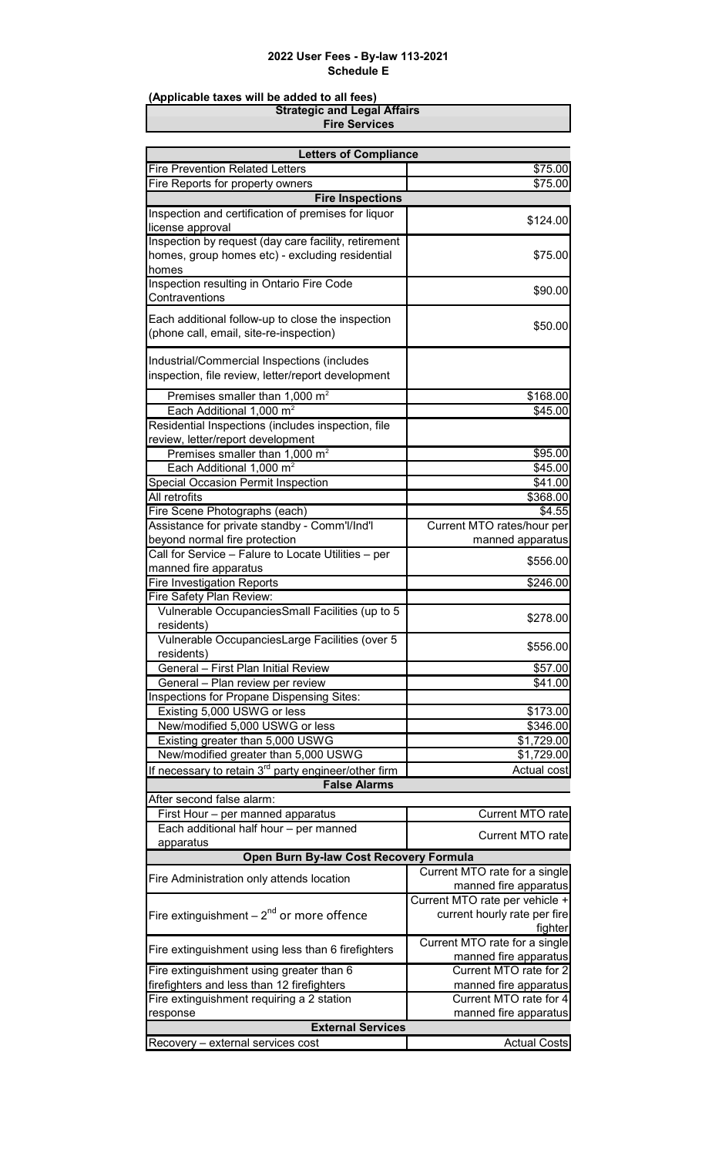#### **(Applicable taxes will be added to all fees)**

**Fire Services Strategic and Legal Affairs**

| <b>Letters of Compliance</b>                                                         |                                |
|--------------------------------------------------------------------------------------|--------------------------------|
| <b>Fire Prevention Related Letters</b>                                               | \$75.00                        |
| Fire Reports for property owners                                                     | \$75.00                        |
| <b>Fire Inspections</b>                                                              |                                |
| Inspection and certification of premises for liquor                                  | \$124.00                       |
| license approval                                                                     |                                |
| Inspection by request (day care facility, retirement                                 |                                |
| homes, group homes etc) - excluding residential                                      | \$75.00                        |
| homes<br>Inspection resulting in Ontario Fire Code                                   |                                |
| Contraventions                                                                       | \$90.00                        |
|                                                                                      |                                |
| Each additional follow-up to close the inspection                                    | \$50.00                        |
| (phone call, email, site-re-inspection)                                              |                                |
| Industrial/Commercial Inspections (includes                                          |                                |
| inspection, file review, letter/report development                                   |                                |
|                                                                                      |                                |
| Premises smaller than 1,000 $m2$                                                     | \$168.00                       |
| Each Additional 1,000 m <sup>2</sup>                                                 | \$45.00                        |
| Residential Inspections (includes inspection, file                                   |                                |
| review, letter/report development                                                    |                                |
| Premises smaller than 1,000 m <sup>2</sup>                                           | \$95.00                        |
| Each Additional 1,000 m <sup>2</sup>                                                 | \$45.00                        |
| Special Occasion Permit Inspection                                                   | \$41.00                        |
| All retrofits                                                                        | \$368.00                       |
| Fire Scene Photographs (each)                                                        | \$4.55                         |
| Assistance for private standby - Comm'l/Ind'l                                        | Current MTO rates/hour per     |
| beyond normal fire protection<br>Call for Service - Falure to Locate Utilities - per | manned apparatus               |
|                                                                                      | \$556.00                       |
| manned fire apparatus<br><b>Fire Investigation Reports</b>                           | \$246.00                       |
| Fire Safety Plan Review:                                                             |                                |
| Vulnerable OccupanciesSmall Facilities (up to 5                                      |                                |
| residents)                                                                           | \$278.00                       |
| Vulnerable OccupanciesLarge Facilities (over 5                                       |                                |
| residents)                                                                           | \$556.00                       |
| General - First Plan Initial Review                                                  | \$57.00                        |
| General - Plan review per review                                                     | \$41.00                        |
| Inspections for Propane Dispensing Sites:                                            |                                |
| Existing 5,000 USWG or less                                                          | \$173.00                       |
| New/modified 5,000 USWG or less                                                      | \$346.00                       |
| Existing greater than 5,000 USWG                                                     | \$1,729.00                     |
| New/modified greater than 5,000 USWG                                                 | \$1,729.00                     |
| If necessary to retain 3 <sup>rd</sup> party engineer/other firm                     | Actual cost                    |
| <b>False Alarms</b>                                                                  |                                |
| After second false alarm:                                                            |                                |
| First Hour - per manned apparatus                                                    | <b>Current MTO rate</b>        |
| Each additional half hour - per manned                                               | <b>Current MTO rate</b>        |
| apparatus                                                                            |                                |
| Open Burn By-law Cost Recovery Formula                                               |                                |
| Fire Administration only attends location                                            | Current MTO rate for a single  |
|                                                                                      | manned fire apparatus          |
|                                                                                      | Current MTO rate per vehicle + |
| Fire extinguishment $-2^{nd}$ or more offence                                        | current hourly rate per fire   |
|                                                                                      | fighter                        |
| Fire extinguishment using less than 6 firefighters                                   | Current MTO rate for a single  |
|                                                                                      | manned fire apparatus          |
| Fire extinguishment using greater than 6                                             | Current MTO rate for 2         |
| firefighters and less than 12 firefighters                                           | manned fire apparatus          |
| Fire extinguishment requiring a 2 station                                            | Current MTO rate for 4         |
| response<br><b>External Services</b>                                                 | manned fire apparatus          |
|                                                                                      |                                |
| Recovery - external services cost                                                    | <b>Actual Costs</b>            |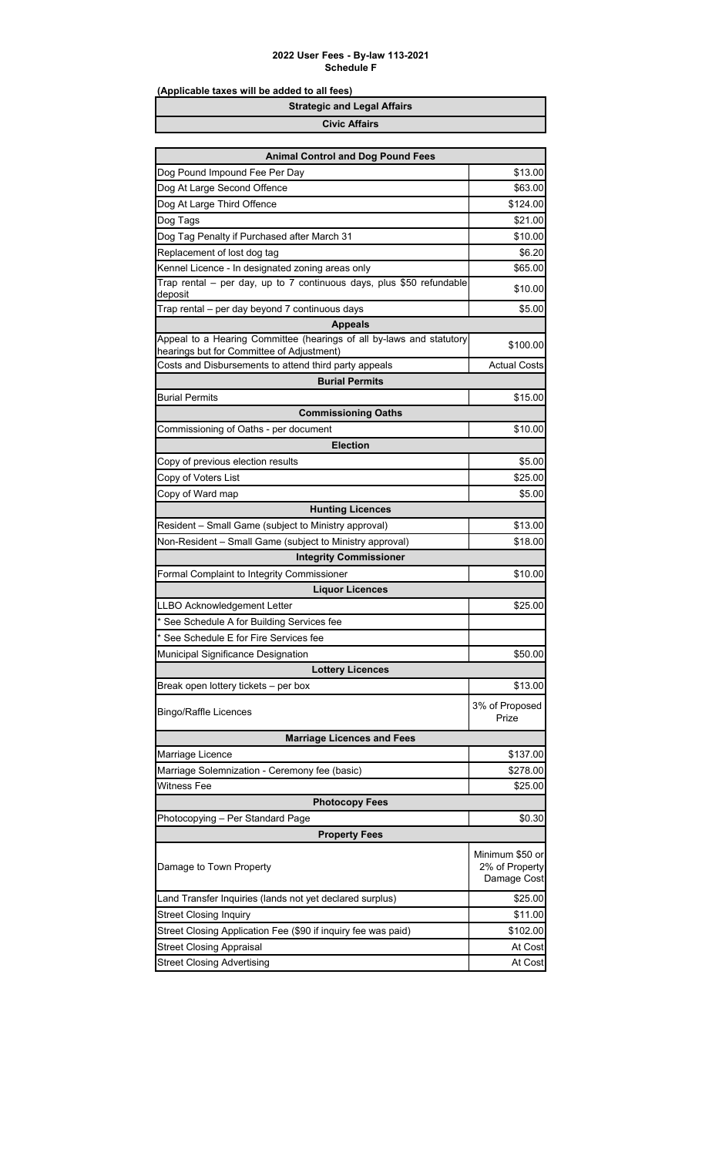| <b>Strategic and Legal Affairs</b> |
|------------------------------------|
| <b>Civic Affairs</b>               |

| <b>Animal Control and Dog Pound Fees</b>                                                                          |                         |
|-------------------------------------------------------------------------------------------------------------------|-------------------------|
| Dog Pound Impound Fee Per Day                                                                                     | \$13.00                 |
| Dog At Large Second Offence                                                                                       | \$63.00                 |
| Dog At Large Third Offence                                                                                        | \$124.00                |
| Dog Tags                                                                                                          | \$21.00                 |
| Dog Tag Penalty if Purchased after March 31                                                                       | \$10.00                 |
| Replacement of lost dog tag                                                                                       | \$6.20                  |
| Kennel Licence - In designated zoning areas only                                                                  | \$65.00                 |
| Trap rental - per day, up to 7 continuous days, plus \$50 refundable<br>deposit                                   | \$10.00                 |
| Trap rental - per day beyond 7 continuous days                                                                    | \$5.00                  |
| <b>Appeals</b>                                                                                                    |                         |
| Appeal to a Hearing Committee (hearings of all by-laws and statutory<br>hearings but for Committee of Adjustment) | \$100.00                |
| Costs and Disbursements to attend third party appeals                                                             | <b>Actual Costs</b>     |
| <b>Burial Permits</b>                                                                                             |                         |
| <b>Burial Permits</b>                                                                                             | \$15.00                 |
| <b>Commissioning Oaths</b>                                                                                        |                         |
| Commissioning of Oaths - per document                                                                             | \$10.00                 |
| <b>Election</b>                                                                                                   |                         |
| Copy of previous election results                                                                                 | \$5.00                  |
| Copy of Voters List                                                                                               | \$25.00                 |
| Copy of Ward map                                                                                                  | \$5.00                  |
| <b>Hunting Licences</b>                                                                                           |                         |
| Resident – Small Game (subject to Ministry approval)                                                              | \$13.00                 |
| Non-Resident - Small Game (subject to Ministry approval)                                                          | \$18.00                 |
| <b>Integrity Commissioner</b>                                                                                     |                         |
| Formal Complaint to Integrity Commissioner                                                                        | \$10.00                 |
| <b>Liquor Licences</b>                                                                                            |                         |
| LLBO Acknowledgement Letter                                                                                       | \$25.00                 |
| See Schedule A for Building Services fee                                                                          |                         |
| See Schedule E for Fire Services fee                                                                              |                         |
| Municipal Significance Designation                                                                                | \$50.00                 |
| <b>Lottery Licences</b>                                                                                           |                         |
| Break open lottery tickets - per box                                                                              | \$13.00                 |
| <b>Bingo/Raffle Licences</b>                                                                                      | 3% of Proposed<br>Prize |
| <b>Marriage Licences and Fees</b>                                                                                 |                         |
| Marriage Licence                                                                                                  | \$137.00                |
| Marriage Solemnization - Ceremony fee (basic)                                                                     | \$278.00                |
| Witness Fee                                                                                                       | \$25.00                 |
| <b>Photocopy Fees</b>                                                                                             |                         |
| Photocopying - Per Standard Page                                                                                  | \$0.30                  |
| <b>Property Fees</b>                                                                                              |                         |
|                                                                                                                   | Minimum \$50 or         |
| Damage to Town Property                                                                                           | 2% of Property          |
|                                                                                                                   | Damage Cost             |
| Land Transfer Inquiries (lands not yet declared surplus)                                                          | \$25.00                 |
| <b>Street Closing Inquiry</b>                                                                                     | \$11.00                 |
| Street Closing Application Fee (\$90 if inquiry fee was paid)                                                     | \$102.00                |
| <b>Street Closing Appraisal</b>                                                                                   | At Cost                 |
| <b>Street Closing Advertising</b>                                                                                 | At Cost                 |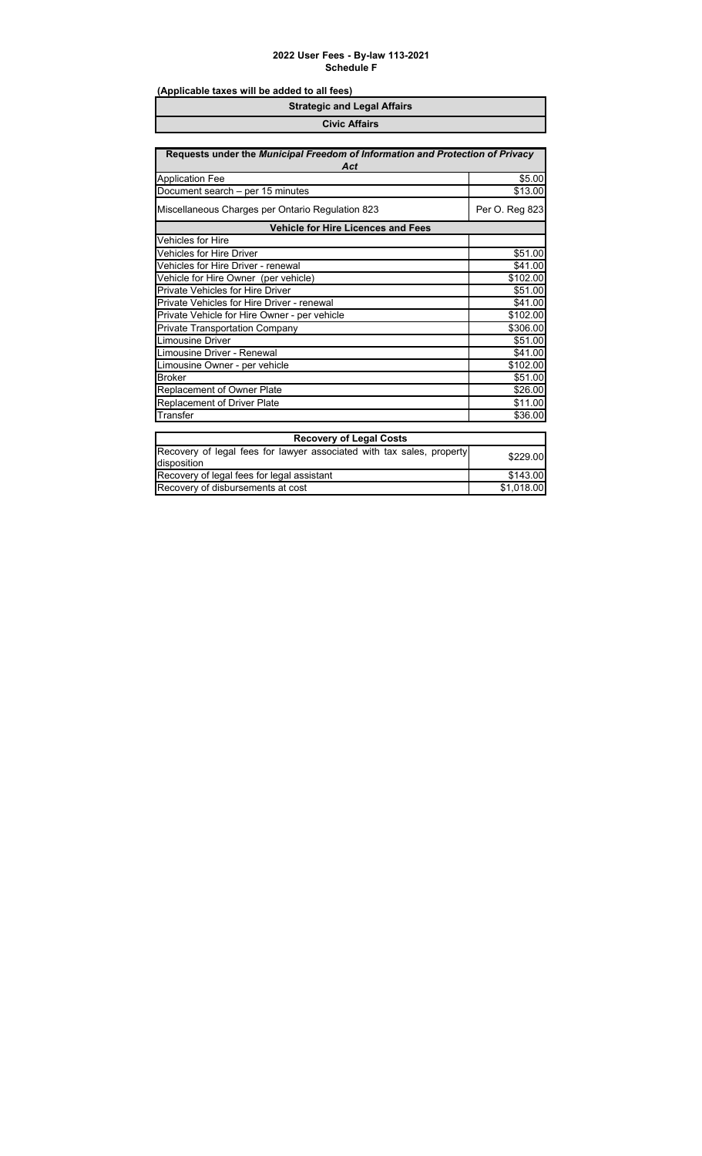| <b>Strategic and Legal Affairs</b> |  |
|------------------------------------|--|
| <b>Civic Affairs</b>               |  |

| Requests under the Municipal Freedom of Information and Protection of Privacy<br>Act |                |
|--------------------------------------------------------------------------------------|----------------|
| <b>Application Fee</b>                                                               | \$5.00         |
| Document search - per 15 minutes                                                     | \$13.00        |
| Miscellaneous Charges per Ontario Regulation 823                                     | Per O. Reg 823 |
| <b>Vehicle for Hire Licences and Fees</b>                                            |                |
| Vehicles for Hire                                                                    |                |
| Vehicles for Hire Driver                                                             | \$51.00        |
| Vehicles for Hire Driver - renewal                                                   | \$41.00        |
| Vehicle for Hire Owner (per vehicle)                                                 | \$102.00       |
| <b>Private Vehicles for Hire Driver</b>                                              | \$51.00        |
| Private Vehicles for Hire Driver - renewal                                           | \$41.00        |
| Private Vehicle for Hire Owner - per vehicle                                         | \$102.00       |
| Private Transportation Company                                                       | \$306.00       |
| <b>Limousine Driver</b>                                                              | \$51.00        |
| Limousine Driver - Renewal                                                           | \$41.00        |
| Limousine Owner - per vehicle                                                        | \$102.00       |
| <b>Broker</b>                                                                        | \$51.00        |
| Replacement of Owner Plate                                                           | \$26.00        |
| Replacement of Driver Plate                                                          | \$11.00        |
| Transfer                                                                             | \$36.00        |
| <b>Recovery of Legal Costs</b>                                                       |                |
| Recovery of legal fees for lawyer associated with tax sales, property                | \$229.00       |
| disposition                                                                          |                |
| Recovery of legal fees for legal assistant                                           | \$143.00       |
| Recovery of disbursements at cost                                                    | \$1,018.00     |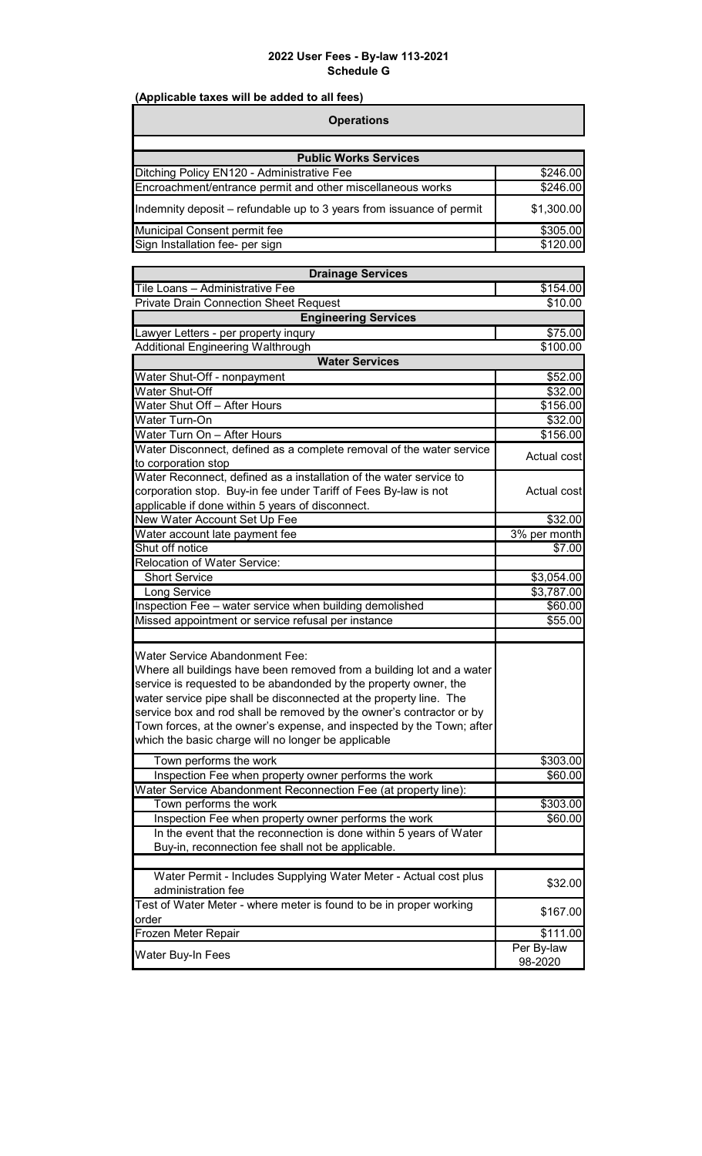٦

| <b>Operations</b>                                                    |            |
|----------------------------------------------------------------------|------------|
| <b>Public Works Services</b>                                         |            |
| Ditching Policy EN120 - Administrative Fee                           | \$246.00   |
| Encroachment/entrance permit and other miscellaneous works           | \$246.00   |
| Indemnity deposit – refundable up to 3 years from issuance of permit | \$1,300.00 |
| Municipal Consent permit fee                                         | \$305.00   |
| Sign Installation fee- per sign                                      | \$120.00   |

| <b>Drainage Services</b>                                                                                                                                                                                                                                                                                                                                                                                                                                  |                       |
|-----------------------------------------------------------------------------------------------------------------------------------------------------------------------------------------------------------------------------------------------------------------------------------------------------------------------------------------------------------------------------------------------------------------------------------------------------------|-----------------------|
| Tile Loans - Administrative Fee                                                                                                                                                                                                                                                                                                                                                                                                                           | \$154.00              |
| <b>Private Drain Connection Sheet Request</b>                                                                                                                                                                                                                                                                                                                                                                                                             | \$10.00               |
| <b>Engineering Services</b>                                                                                                                                                                                                                                                                                                                                                                                                                               |                       |
| Lawyer Letters - per property inqury                                                                                                                                                                                                                                                                                                                                                                                                                      | \$75.00               |
| Additional Engineering Walthrough                                                                                                                                                                                                                                                                                                                                                                                                                         | \$100.00              |
| <b>Water Services</b>                                                                                                                                                                                                                                                                                                                                                                                                                                     |                       |
| Water Shut-Off - nonpayment                                                                                                                                                                                                                                                                                                                                                                                                                               | \$52.00               |
| Water Shut-Off                                                                                                                                                                                                                                                                                                                                                                                                                                            | \$32.00               |
| Water Shut Off - After Hours                                                                                                                                                                                                                                                                                                                                                                                                                              | \$156.00              |
| Water Turn-On                                                                                                                                                                                                                                                                                                                                                                                                                                             | \$32.00               |
| Water Turn On - After Hours                                                                                                                                                                                                                                                                                                                                                                                                                               | \$156.00              |
| Water Disconnect, defined as a complete removal of the water service                                                                                                                                                                                                                                                                                                                                                                                      | Actual cost           |
| to corporation stop<br>Water Reconnect, defined as a installation of the water service to                                                                                                                                                                                                                                                                                                                                                                 |                       |
| corporation stop. Buy-in fee under Tariff of Fees By-law is not                                                                                                                                                                                                                                                                                                                                                                                           | Actual cost           |
| applicable if done within 5 years of disconnect.                                                                                                                                                                                                                                                                                                                                                                                                          |                       |
| New Water Account Set Up Fee                                                                                                                                                                                                                                                                                                                                                                                                                              | \$32.00               |
| Water account late payment fee                                                                                                                                                                                                                                                                                                                                                                                                                            | 3% per month          |
| Shut off notice                                                                                                                                                                                                                                                                                                                                                                                                                                           | \$7.00                |
| <b>Relocation of Water Service:</b>                                                                                                                                                                                                                                                                                                                                                                                                                       |                       |
| <b>Short Service</b>                                                                                                                                                                                                                                                                                                                                                                                                                                      | \$3,054.00            |
| Long Service                                                                                                                                                                                                                                                                                                                                                                                                                                              | \$3,787.00            |
| Inspection Fee - water service when building demolished                                                                                                                                                                                                                                                                                                                                                                                                   | \$60.00               |
| Missed appointment or service refusal per instance                                                                                                                                                                                                                                                                                                                                                                                                        | \$55.00               |
|                                                                                                                                                                                                                                                                                                                                                                                                                                                           |                       |
| Water Service Abandonment Fee:<br>Where all buildings have been removed from a building lot and a water<br>service is requested to be abandonded by the property owner, the<br>water service pipe shall be disconnected at the property line. The<br>service box and rod shall be removed by the owner's contractor or by<br>Town forces, at the owner's expense, and inspected by the Town; after<br>which the basic charge will no longer be applicable |                       |
| Town performs the work                                                                                                                                                                                                                                                                                                                                                                                                                                    | \$303.00              |
| Inspection Fee when property owner performs the work                                                                                                                                                                                                                                                                                                                                                                                                      | \$60.00               |
| Water Service Abandonment Reconnection Fee (at property line):                                                                                                                                                                                                                                                                                                                                                                                            |                       |
| Town performs the work                                                                                                                                                                                                                                                                                                                                                                                                                                    | \$303.00              |
| Inspection Fee when property owner performs the work                                                                                                                                                                                                                                                                                                                                                                                                      | \$60.00               |
| In the event that the reconnection is done within 5 years of Water<br>Buy-in, reconnection fee shall not be applicable.                                                                                                                                                                                                                                                                                                                                   |                       |
| Water Permit - Includes Supplying Water Meter - Actual cost plus<br>administration fee                                                                                                                                                                                                                                                                                                                                                                    | \$32.00               |
| Test of Water Meter - where meter is found to be in proper working<br>order                                                                                                                                                                                                                                                                                                                                                                               | \$167.00              |
| Frozen Meter Repair                                                                                                                                                                                                                                                                                                                                                                                                                                       | \$111.00              |
| Water Buy-In Fees                                                                                                                                                                                                                                                                                                                                                                                                                                         | Per By-law<br>98-2020 |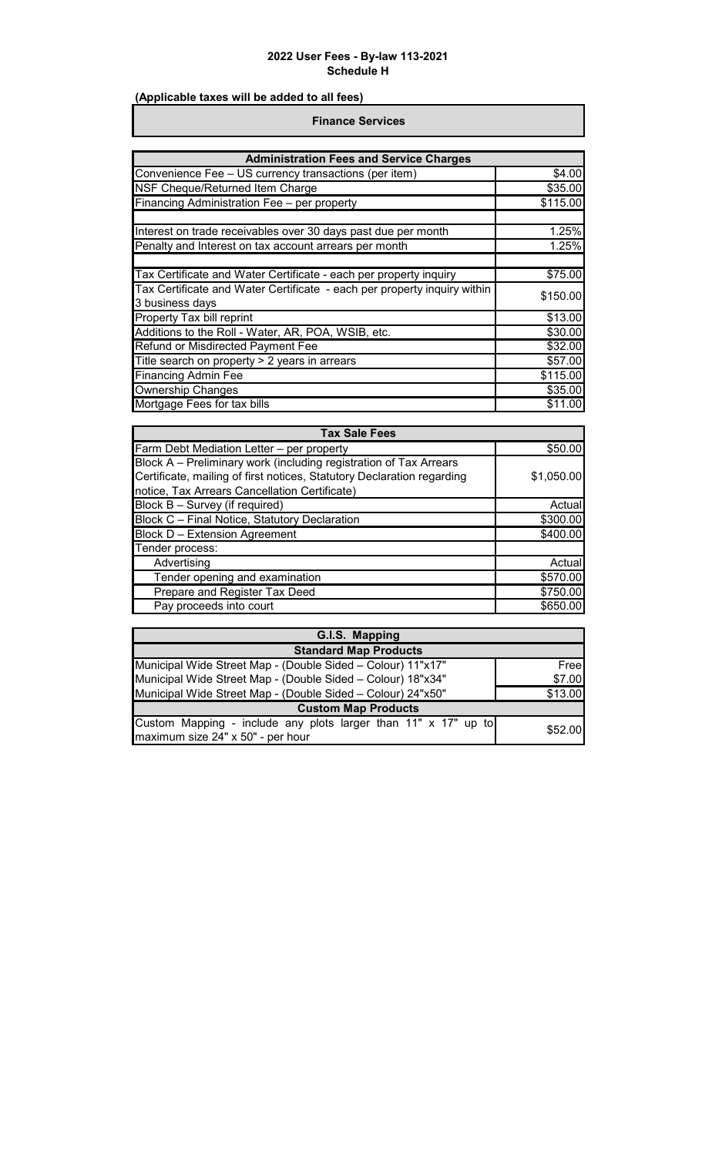# **(Applicable taxes will be added to all fees)**

#### **Finance Services**

| <b>Administration Fees and Service Charges</b>                                              |          |  |
|---------------------------------------------------------------------------------------------|----------|--|
| Convenience Fee - US currency transactions (per item)                                       | \$4.00   |  |
| NSF Cheque/Returned Item Charge                                                             | \$35.00  |  |
| Financing Administration Fee - per property                                                 | \$115.00 |  |
| Interest on trade receivables over 30 days past due per month                               | 1.25%    |  |
| Penalty and Interest on tax account arrears per month                                       | 1.25%    |  |
| Tax Certificate and Water Certificate - each per property inquiry                           | \$75.00  |  |
| Tax Certificate and Water Certificate - each per property inquiry within<br>3 business days | \$150.00 |  |
| Property Tax bill reprint                                                                   | \$13.00  |  |
| Additions to the Roll - Water, AR, POA, WSIB, etc.                                          | \$30.00  |  |
| Refund or Misdirected Payment Fee                                                           | \$32.00  |  |
| Title search on property > 2 years in arrears                                               | \$57.00  |  |
| <b>Financing Admin Fee</b>                                                                  | \$115.00 |  |
| <b>Ownership Changes</b>                                                                    | \$35.00  |  |
| Mortgage Fees for tax bills                                                                 | \$11.00  |  |

| <b>Tax Sale Fees</b>                                                                                                                                                                         |            |
|----------------------------------------------------------------------------------------------------------------------------------------------------------------------------------------------|------------|
| Farm Debt Mediation Letter - per property                                                                                                                                                    | \$50.00    |
| Block A – Preliminary work (including registration of Tax Arrears<br>Certificate, mailing of first notices, Statutory Declaration regarding<br>notice, Tax Arrears Cancellation Certificate) | \$1,050.00 |
| Block B - Survey (if required)                                                                                                                                                               | Actual     |
| Block C - Final Notice, Statutory Declaration                                                                                                                                                | \$300.00   |
| <b>Block D - Extension Agreement</b>                                                                                                                                                         | \$400.00   |
| Tender process:                                                                                                                                                                              |            |
| Advertising                                                                                                                                                                                  | Actual     |
| Tender opening and examination                                                                                                                                                               | \$570.00   |
| Prepare and Register Tax Deed                                                                                                                                                                | \$750.00   |
| Pay proceeds into court                                                                                                                                                                      | \$650.00   |

| G.I.S. Mapping                                                                                      |         |  |
|-----------------------------------------------------------------------------------------------------|---------|--|
| <b>Standard Map Products</b>                                                                        |         |  |
| Municipal Wide Street Map - (Double Sided - Colour) 11"x17"                                         | Free    |  |
| Municipal Wide Street Map - (Double Sided - Colour) 18"x34"                                         | \$7.00  |  |
| Municipal Wide Street Map - (Double Sided - Colour) 24"x50"                                         | \$13.00 |  |
| <b>Custom Map Products</b>                                                                          |         |  |
| Custom Mapping - include any plots larger than 11" x 17" up to<br>maximum size 24" x 50" - per hour | \$52.00 |  |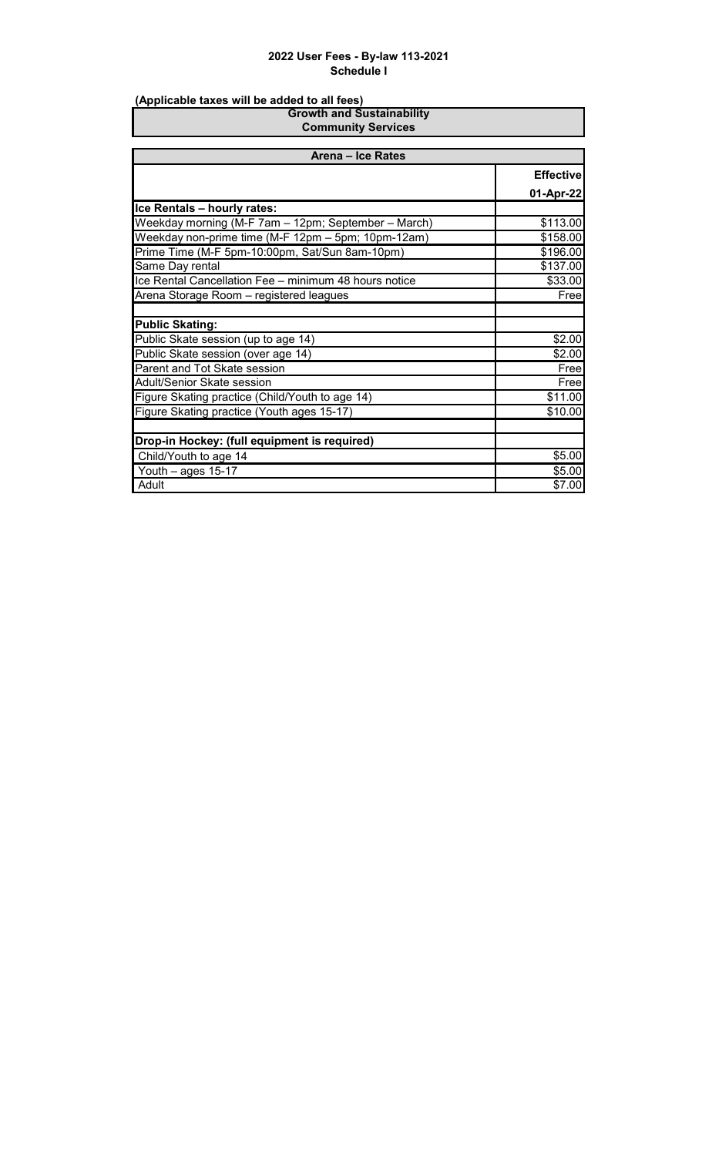| <b>Growth and Sustainability</b><br><b>Community Services</b> |                  |  |
|---------------------------------------------------------------|------------------|--|
|                                                               |                  |  |
| Arena - Ice Rates                                             |                  |  |
|                                                               | <b>Effective</b> |  |
|                                                               | 01-Apr-22        |  |
| Ice Rentals - hourly rates:                                   |                  |  |
| Weekday morning (M-F 7am - 12pm; September - March)           | \$113.00         |  |
| Weekday non-prime time (M-F 12pm - 5pm; 10pm-12am)            | \$158.00         |  |
| Prime Time (M-F 5pm-10:00pm, Sat/Sun 8am-10pm)                | \$196.00         |  |
| Same Day rental                                               | \$137.00         |  |
| Ice Rental Cancellation Fee - minimum 48 hours notice         | \$33.00          |  |
| Arena Storage Room - registered leagues                       | Free             |  |
|                                                               |                  |  |
| <b>Public Skating:</b>                                        |                  |  |
| Public Skate session (up to age 14)                           | \$2.00           |  |
| Public Skate session (over age 14)                            | \$2.00           |  |
| Parent and Tot Skate session                                  | Free             |  |
| Adult/Senior Skate session                                    | Free             |  |
| Figure Skating practice (Child/Youth to age 14)               | \$11.00          |  |
| Figure Skating practice (Youth ages 15-17)                    | \$10.00          |  |
|                                                               |                  |  |
| Drop-in Hockey: (full equipment is required)                  |                  |  |
| Child/Youth to age 14                                         | \$5.00           |  |
| Youth $-$ ages 15-17                                          | \$5.00           |  |
| Adult                                                         | \$7.00           |  |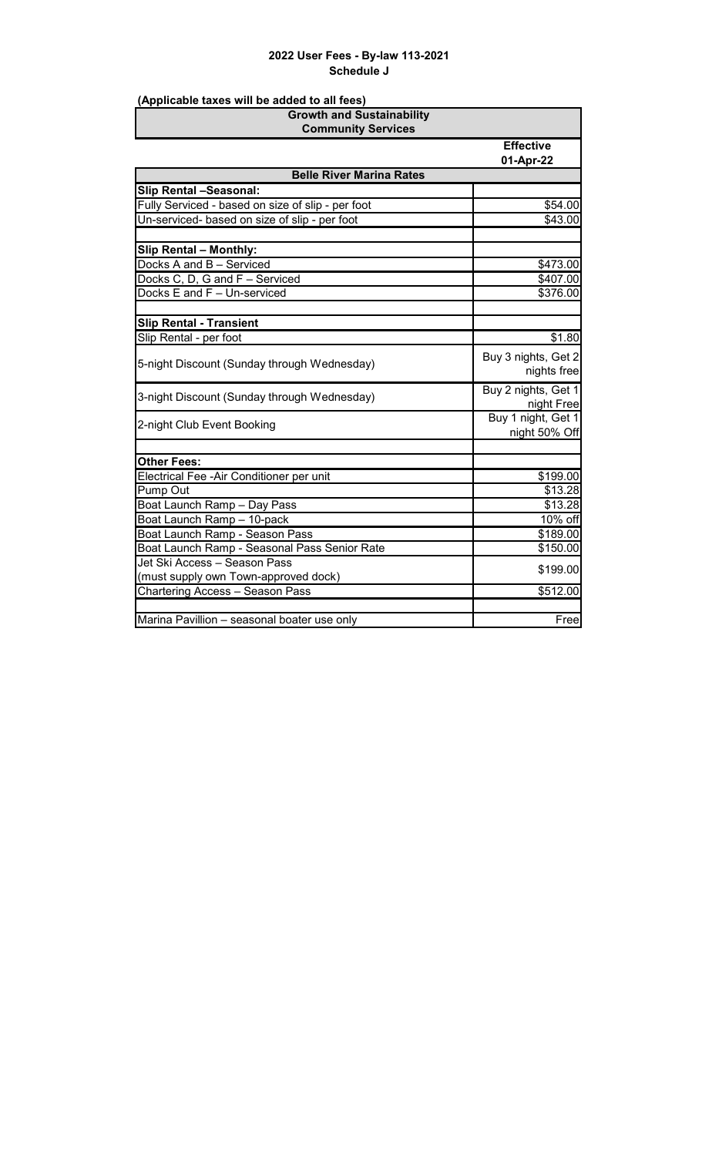| <b>Growth and Sustainability</b><br><b>Community Services</b>        |                                     |
|----------------------------------------------------------------------|-------------------------------------|
|                                                                      | <b>Effective</b><br>01-Apr-22       |
| <b>Belle River Marina Rates</b>                                      |                                     |
| <b>Slip Rental -Seasonal:</b>                                        |                                     |
| Fully Serviced - based on size of slip - per foot                    | \$54.00                             |
| Un-serviced- based on size of slip - per foot                        | \$43.00                             |
|                                                                      |                                     |
| <b>Slip Rental - Monthly:</b>                                        |                                     |
| Docks A and B - Serviced                                             | \$473.00                            |
| Docks C, D, G and F - Serviced                                       | \$407.00                            |
| Docks E and F - Un-serviced                                          | \$376.00                            |
|                                                                      |                                     |
| <b>Slip Rental - Transient</b>                                       |                                     |
| Slip Rental - per foot                                               | \$1.80                              |
| 5-night Discount (Sunday through Wednesday)                          | Buy 3 nights, Get 2<br>nights free  |
| 3-night Discount (Sunday through Wednesday)                          | Buy 2 nights, Get 1<br>night Free   |
| 2-night Club Event Booking                                           | Buy 1 night, Get 1<br>night 50% Off |
| <b>Other Fees:</b>                                                   |                                     |
| Electrical Fee - Air Conditioner per unit                            | \$199.00                            |
| <b>Pump Out</b>                                                      | \$13.28                             |
| Boat Launch Ramp - Day Pass                                          | \$13.28                             |
| Boat Launch Ramp - 10-pack                                           | 10% off                             |
| Boat Launch Ramp - Season Pass                                       | \$189.00                            |
| Boat Launch Ramp - Seasonal Pass Senior Rate                         | \$150.00                            |
| Jet Ski Access - Season Pass<br>(must supply own Town-approved dock) | \$199.00                            |
| <b>Chartering Access - Season Pass</b>                               | \$512.00                            |
|                                                                      |                                     |
| Marina Pavillion - seasonal boater use only                          | Free                                |